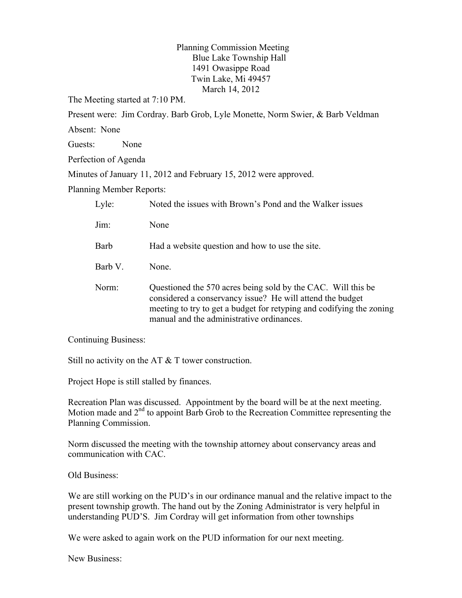Planning Commission Meeting Blue Lake Township Hall 1491 Owasippe Road Twin Lake, Mi 49457 March 14, 2012

The Meeting started at 7:10 PM.

Present were: Jim Cordray. Barb Grob, Lyle Monette, Norm Swier, & Barb Veldman

Absent: None

Guests: None

Perfection of Agenda

Minutes of January 11, 2012 and February 15, 2012 were approved.

Planning Member Reports:

| Lyle:   | Noted the issues with Brown's Pond and the Walker issues                                                                                                                                                                                       |
|---------|------------------------------------------------------------------------------------------------------------------------------------------------------------------------------------------------------------------------------------------------|
| Jim:    | None                                                                                                                                                                                                                                           |
| Barb    | Had a website question and how to use the site.                                                                                                                                                                                                |
| Barb V. | None.                                                                                                                                                                                                                                          |
| Norm:   | Questioned the 570 acres being sold by the CAC. Will this be<br>considered a conservancy issue? He will attend the budget<br>meeting to try to get a budget for retyping and codifying the zoning<br>manual and the administrative ordinances. |

Continuing Business:

Still no activity on the AT & T tower construction.

Project Hope is still stalled by finances.

Recreation Plan was discussed. Appointment by the board will be at the next meeting. Motion made and 2<sup>nd</sup> to appoint Barb Grob to the Recreation Committee representing the Planning Commission.

Norm discussed the meeting with the township attorney about conservancy areas and communication with CAC.

Old Business:

We are still working on the PUD's in our ordinance manual and the relative impact to the present township growth. The hand out by the Zoning Administrator is very helpful in understanding PUD'S. Jim Cordray will get information from other townships

We were asked to again work on the PUD information for our next meeting.

New Business: